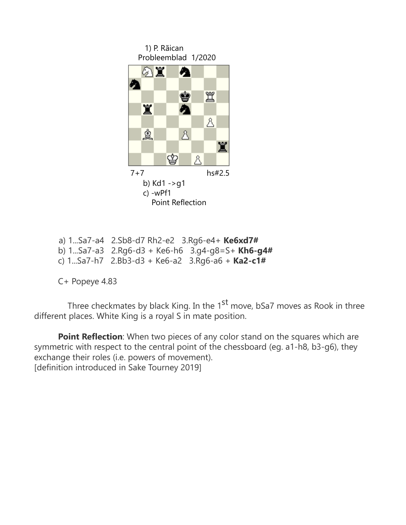

```
 a) 1...Sa7-a4 2.Sb8-d7 Rh2-e2 3.Rg6-e4+ Ke6xd7#
b) 1...Sa7-a3 2.Rg6-d3 + Ke6-h6 3.g4-g8=S+ Kh6-g4#
c) 1...Sa7-h7 2.Bb3-d3 + Ke6-a2 3.Rg6-a6 + Ka2-c1#
```
C+ Popeye 4.83

Three checkmates by black King. In the  $1<sup>st</sup>$  move, bSa7 moves as Rook in three different places. White King is a royal S in mate position.

**Point Reflection**: When two pieces of any color stand on the squares which are symmetric with respect to the central point of the chessboard (eg. a1-h8, b3-g6), they exchange their roles (i.e. powers of movement). [definition introduced in Sake Tourney 2019]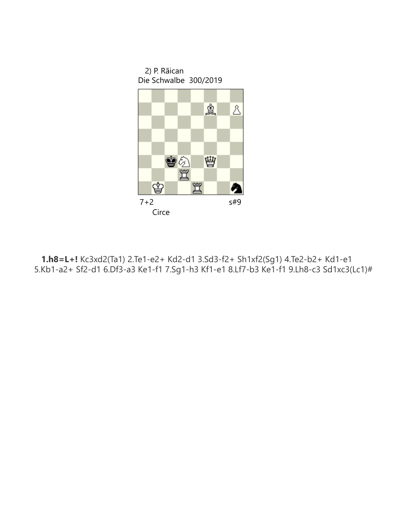

**1.h8=L+!** Kc3xd2(Ta1) 2.Te1-e2+ Kd2-d1 3.Sd3-f2+ Sh1xf2(Sg1) 4.Te2-b2+ Kd1-e1<br>5.Kb1-a2+ Sf2-d1 6.Df3-a3 Ke1-f1 7.Sg1-h3 Kf1-e1 8.Lf7-b3 Ke1-f1 9.Lh8-c3 Sd1xc3(Lc1)#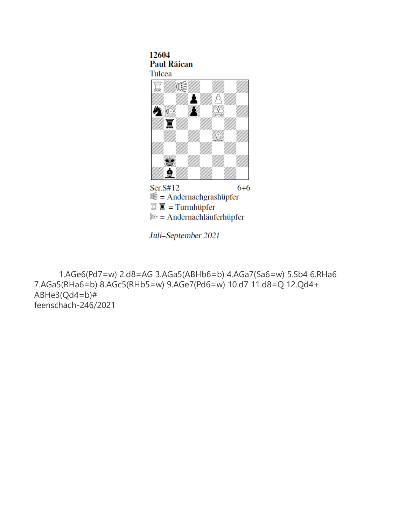## 12604 **Paul Răican** Tulcea



Juli-September 2021

 1.AGe6(Pd7=w) 2.d8=AG 3.AGa5(ABHb6=b) 4.AGa7(Sa6=w) 5.Sb4 6.RHa6 7.AGa5(RHa6=b) 8.AGc5(RHb5=w) 9.AGe7(Pd6=w) 10.d7 11.d8=Q 12.Qd4+ ABHe3(Qd4=b)# feenschach-246/2021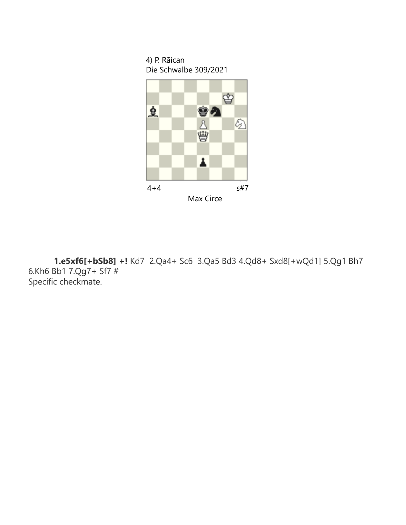4) P. Rãican Die Schwalbe 309/2021



 **1.e5xf6[+bSb8] +!** Kd7 2.Qa4+ Sc6 3.Qa5 Bd3 4.Qd8+ Sxd8[+wQd1] 5.Qg1 Bh7 6.Kh6 Bb1 7.Qg7+ Sf7 # Specific checkmate.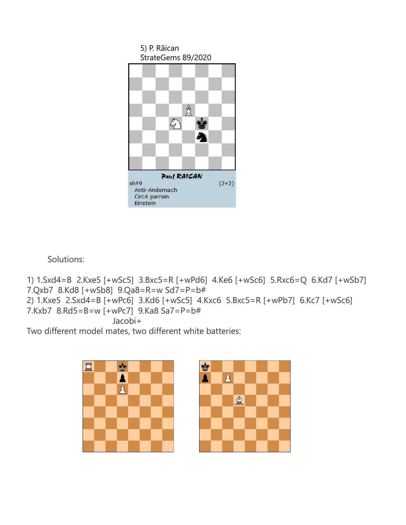

Solutions:

1) 1.Sxd4=B 2.Kxe5 [+wSc5] 3.Bxc5=R [+wPd6] 4.Ke6 [+wSc6] 5.Rxc6=Q 6.Kd7 [+wSb7] 7.Qxb7 8.Kd8 [+wSb8] 9.Qa8=R=w Sd7=P=b# 2) 1.Kxe5 2.Sxd4=B [+wPc6] 3.Kd6 [+wSc5] 4.Kxc6 5.Bxc5=R [+wPb7] 6.Kc7 [+wSc6] 7.Kxb7 8.Rd5=B=w [+wPc7] 9.Ka8 Sa7=P=b# Jacobi+

Two different model mates, two different white batteries: